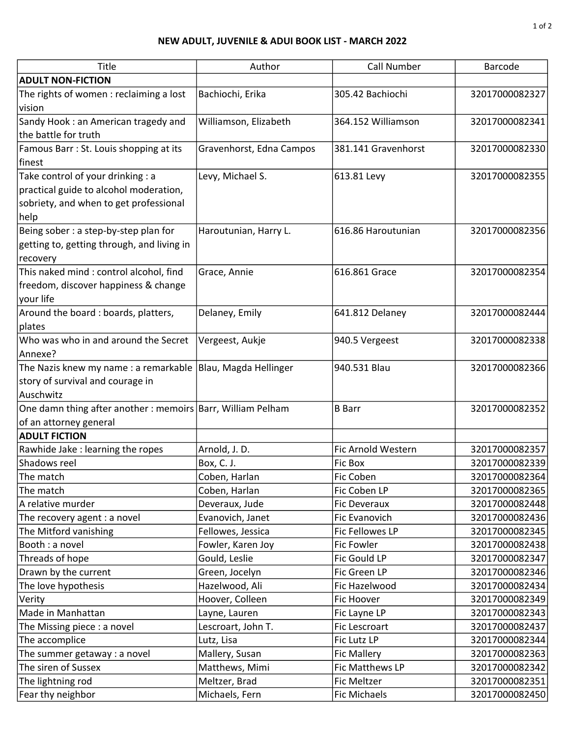## NEW ADULT, JUVENILE & ADUI BOOK LIST - MARCH 2022

| Title                                                        | Author                   | Call Number         | Barcode        |
|--------------------------------------------------------------|--------------------------|---------------------|----------------|
| <b>ADULT NON-FICTION</b>                                     |                          |                     |                |
| The rights of women : reclaiming a lost                      | Bachiochi, Erika         | 305.42 Bachiochi    | 32017000082327 |
| vision                                                       |                          |                     |                |
| Sandy Hook: an American tragedy and                          | Williamson, Elizabeth    | 364.152 Williamson  | 32017000082341 |
| the battle for truth                                         |                          |                     |                |
| Famous Barr: St. Louis shopping at its                       | Gravenhorst, Edna Campos | 381.141 Gravenhorst | 32017000082330 |
| finest                                                       |                          |                     |                |
| Take control of your drinking : a                            | Levy, Michael S.         | 613.81 Levy         | 32017000082355 |
| practical guide to alcohol moderation,                       |                          |                     |                |
| sobriety, and when to get professional                       |                          |                     |                |
| help                                                         |                          |                     |                |
| Being sober: a step-by-step plan for                         | Haroutunian, Harry L.    | 616.86 Haroutunian  | 32017000082356 |
| getting to, getting through, and living in                   |                          |                     |                |
| recovery                                                     |                          |                     |                |
| This naked mind : control alcohol, find                      | Grace, Annie             | 616.861 Grace       | 32017000082354 |
| freedom, discover happiness & change                         |                          |                     |                |
| your life                                                    |                          |                     |                |
| Around the board : boards, platters,                         | Delaney, Emily           | 641.812 Delaney     | 32017000082444 |
| plates                                                       |                          |                     |                |
| Who was who in and around the Secret                         | Vergeest, Aukje          | 940.5 Vergeest      | 32017000082338 |
| Annexe?                                                      |                          |                     |                |
| The Nazis knew my name : a remarkable  Blau, Magda Hellinger |                          | 940.531 Blau        | 32017000082366 |
| story of survival and courage in                             |                          |                     |                |
| Auschwitz                                                    |                          |                     |                |
| One damn thing after another : memoirs Barr, William Pelham  |                          | <b>B</b> Barr       | 32017000082352 |
| of an attorney general                                       |                          |                     |                |
| <b>ADULT FICTION</b>                                         |                          |                     |                |
| Rawhide Jake : learning the ropes                            | Arnold, J. D.            | Fic Arnold Western  | 32017000082357 |
| Shadows reel                                                 | Box, C. J.               | <b>Fic Box</b>      | 32017000082339 |
| The match                                                    | Coben, Harlan            | Fic Coben           | 32017000082364 |
| The match                                                    | Coben, Harlan            | Fic Coben LP        | 32017000082365 |
| A relative murder                                            | Deveraux, Jude           | <b>Fic Deveraux</b> | 32017000082448 |
| The recovery agent : a novel                                 | Evanovich, Janet         | Fic Evanovich       | 32017000082436 |
| The Mitford vanishing                                        | Fellowes, Jessica        | Fic Fellowes LP     | 32017000082345 |
| Booth : a novel                                              | Fowler, Karen Joy        | Fic Fowler          | 32017000082438 |
| Threads of hope                                              | Gould, Leslie            | Fic Gould LP        | 32017000082347 |
| Drawn by the current                                         | Green, Jocelyn           | Fic Green LP        | 32017000082346 |
| The love hypothesis                                          | Hazelwood, Ali           | Fic Hazelwood       | 32017000082434 |
| Verity                                                       | Hoover, Colleen          | Fic Hoover          | 32017000082349 |
| Made in Manhattan                                            | Layne, Lauren            | Fic Layne LP        | 32017000082343 |
| The Missing piece : a novel                                  | Lescroart, John T.       | Fic Lescroart       | 32017000082437 |
| The accomplice                                               | Lutz, Lisa               | Fic Lutz LP         | 32017000082344 |
| The summer getaway : a novel                                 | Mallery, Susan           | <b>Fic Mallery</b>  | 32017000082363 |
| The siren of Sussex                                          | Matthews, Mimi           | Fic Matthews LP     | 32017000082342 |
| The lightning rod                                            | Meltzer, Brad            | <b>Fic Meltzer</b>  | 32017000082351 |
| Fear thy neighbor                                            | Michaels, Fern           | <b>Fic Michaels</b> | 32017000082450 |